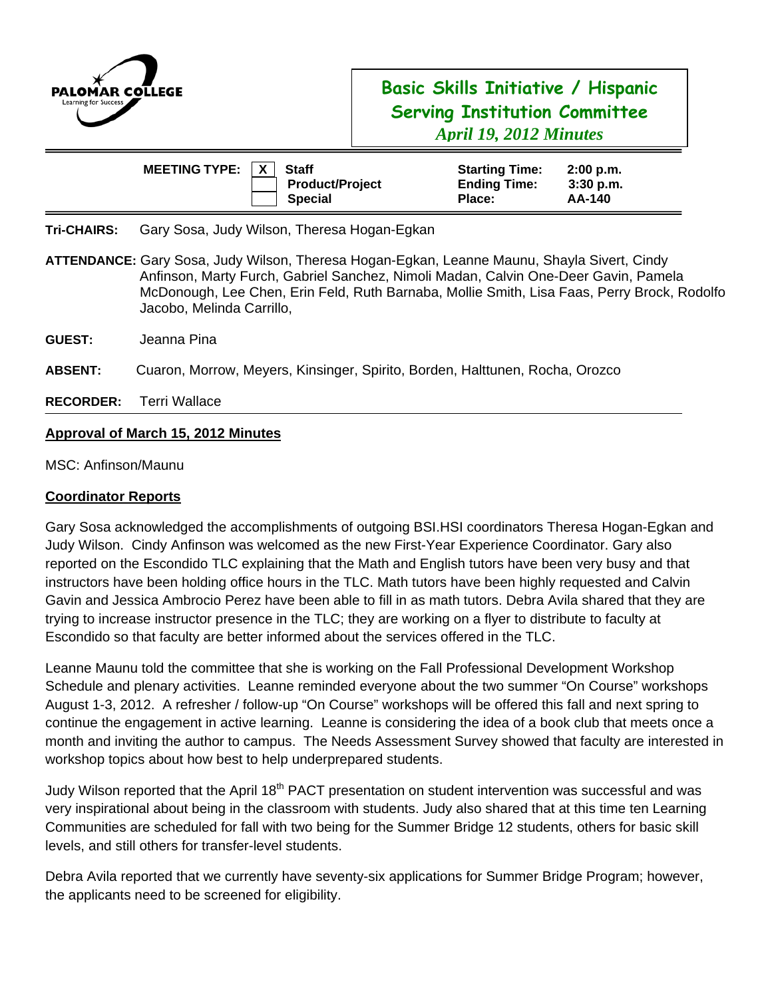

# **Basic Skills Initiative / Hispanic Serving Institution Committee**  *April 19, 2012 Minutes*

| MEETING TYPE: $ X $ | <b>Staff</b>                             | <b>Starting Time:</b>         | 2:00 p.m.             |
|---------------------|------------------------------------------|-------------------------------|-----------------------|
|                     | <b>Product/Project</b><br><b>Special</b> | <b>Ending Time:</b><br>Place: | $3:30$ p.m.<br>AA-140 |

**Tri-CHAIRS:** Gary Sosa, Judy Wilson, Theresa Hogan-Egkan

- **GUEST:** Jeanna Pina
- **ABSENT:** Cuaron, Morrow, Meyers, Kinsinger, Spirito, Borden, Halttunen, Rocha, Orozco
- **RECORDER:** Terri Wallace

### **Approval of March 15, 2012 Minutes**

MSC: Anfinson/Maunu

#### **Coordinator Reports**

Gary Sosa acknowledged the accomplishments of outgoing BSI.HSI coordinators Theresa Hogan-Egkan and Judy Wilson. Cindy Anfinson was welcomed as the new First-Year Experience Coordinator. Gary also reported on the Escondido TLC explaining that the Math and English tutors have been very busy and that instructors have been holding office hours in the TLC. Math tutors have been highly requested and Calvin Gavin and Jessica Ambrocio Perez have been able to fill in as math tutors. Debra Avila shared that they are trying to increase instructor presence in the TLC; they are working on a flyer to distribute to faculty at Escondido so that faculty are better informed about the services offered in the TLC.

Leanne Maunu told the committee that she is working on the Fall Professional Development Workshop Schedule and plenary activities. Leanne reminded everyone about the two summer "On Course" workshops August 1-3, 2012. A refresher / follow-up "On Course" workshops will be offered this fall and next spring to continue the engagement in active learning. Leanne is considering the idea of a book club that meets once a month and inviting the author to campus. The Needs Assessment Survey showed that faculty are interested in workshop topics about how best to help underprepared students.

Judy Wilson reported that the April 18<sup>th</sup> PACT presentation on student intervention was successful and was very inspirational about being in the classroom with students. Judy also shared that at this time ten Learning Communities are scheduled for fall with two being for the Summer Bridge 12 students, others for basic skill levels, and still others for transfer-level students.

Debra Avila reported that we currently have seventy-six applications for Summer Bridge Program; however, the applicants need to be screened for eligibility.

**ATTENDANCE:** Gary Sosa, Judy Wilson, Theresa Hogan-Egkan, Leanne Maunu, Shayla Sivert, Cindy Anfinson, Marty Furch, Gabriel Sanchez, Nimoli Madan, Calvin One-Deer Gavin, Pamela McDonough, Lee Chen, Erin Feld, Ruth Barnaba, Mollie Smith, Lisa Faas, Perry Brock, Rodolfo Jacobo, Melinda Carrillo,